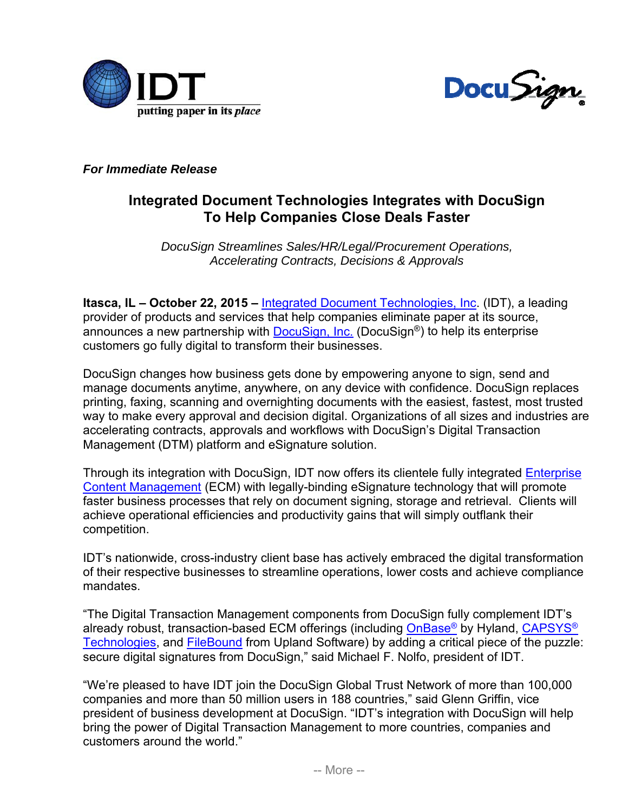



*For Immediate Release* 

## **Integrated Document Technologies Integrates with DocuSign To Help Companies Close Deals Faster**

*DocuSign Streamlines Sales/HR/Legal/Procurement Operations, Accelerating Contracts, Decisions & Approvals* 

**Itasca, IL – October 22, 2015 –** Integrated Document Technologies, Inc. (IDT), a leading provider of products and services that help companies eliminate paper at its source, announces a new partnership with DocuSign, Inc. (DocuSign<sup>®</sup>) to help its enterprise customers go fully digital to transform their businesses.

DocuSign changes how business gets done by empowering anyone to sign, send and manage documents anytime, anywhere, on any device with confidence. DocuSign replaces printing, faxing, scanning and overnighting documents with the easiest, fastest, most trusted way to make every approval and decision digital. Organizations of all sizes and industries are accelerating contracts, approvals and workflows with DocuSign's Digital Transaction Management (DTM) platform and eSignature solution.

Through its integration with DocuSign, IDT now offers its clientele fully integrated Enterprise Content Management (ECM) with legally-binding eSignature technology that will promote faster business processes that rely on document signing, storage and retrieval. Clients will achieve operational efficiencies and productivity gains that will simply outflank their competition.

IDT's nationwide, cross-industry client base has actively embraced the digital transformation of their respective businesses to streamline operations, lower costs and achieve compliance mandates.

"The Digital Transaction Management components from DocuSign fully complement IDT's already robust, transaction-based ECM offerings (including OnBase® by Hyland, CAPSYS® Technologies, and FileBound from Upland Software) by adding a critical piece of the puzzle: secure digital signatures from DocuSign," said Michael F. Nolfo, president of IDT.

"We're pleased to have IDT join the DocuSign Global Trust Network of more than 100,000 companies and more than 50 million users in 188 countries," said Glenn Griffin, vice president of business development at DocuSign. "IDT's integration with DocuSign will help bring the power of Digital Transaction Management to more countries, companies and customers around the world."